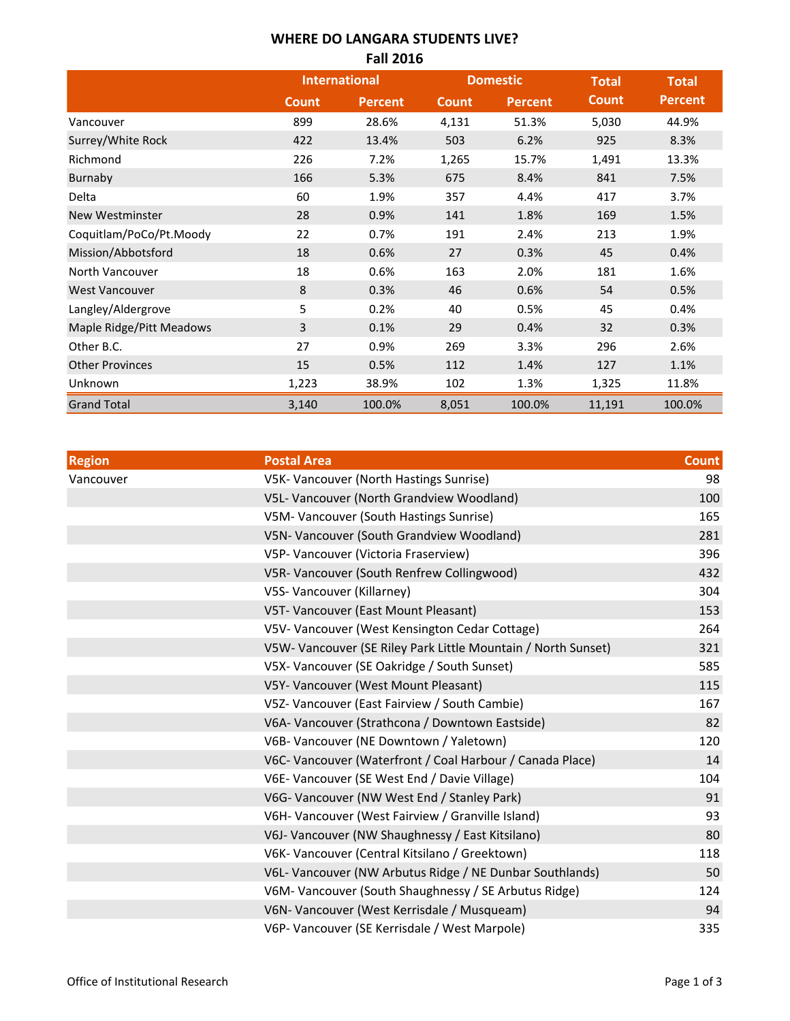## **WHERE DO LANGARA STUDENTS LIVE?**

| <b>Fall 2016</b>         |                      |                |                 |                |              |                |  |  |
|--------------------------|----------------------|----------------|-----------------|----------------|--------------|----------------|--|--|
|                          | <b>International</b> |                | <b>Domestic</b> |                | <b>Total</b> | <b>Total</b>   |  |  |
|                          | <b>Count</b>         | <b>Percent</b> | <b>Count</b>    | <b>Percent</b> | <b>Count</b> | <b>Percent</b> |  |  |
| Vancouver                | 899                  | 28.6%          | 4,131           | 51.3%          | 5,030        | 44.9%          |  |  |
| Surrey/White Rock        | 422                  | 13.4%          | 503             | 6.2%           | 925          | 8.3%           |  |  |
| Richmond                 | 226                  | 7.2%           | 1,265           | 15.7%          | 1,491        | 13.3%          |  |  |
| Burnaby                  | 166                  | 5.3%           | 675             | 8.4%           | 841          | 7.5%           |  |  |
| Delta                    | 60                   | 1.9%           | 357             | 4.4%           | 417          | 3.7%           |  |  |
| New Westminster          | 28                   | 0.9%           | 141             | 1.8%           | 169          | 1.5%           |  |  |
| Coquitlam/PoCo/Pt.Moody  | 22                   | 0.7%           | 191             | 2.4%           | 213          | 1.9%           |  |  |
| Mission/Abbotsford       | 18                   | 0.6%           | 27              | 0.3%           | 45           | 0.4%           |  |  |
| North Vancouver          | 18                   | 0.6%           | 163             | 2.0%           | 181          | 1.6%           |  |  |
| <b>West Vancouver</b>    | 8                    | 0.3%           | 46              | 0.6%           | 54           | 0.5%           |  |  |
| Langley/Aldergrove       | 5                    | 0.2%           | 40              | 0.5%           | 45           | 0.4%           |  |  |
| Maple Ridge/Pitt Meadows | 3                    | 0.1%           | 29              | 0.4%           | 32           | 0.3%           |  |  |
| Other B.C.               | 27                   | 0.9%           | 269             | 3.3%           | 296          | 2.6%           |  |  |
| <b>Other Provinces</b>   | 15                   | 0.5%           | 112             | 1.4%           | 127          | 1.1%           |  |  |
| Unknown                  | 1,223                | 38.9%          | 102             | 1.3%           | 1,325        | 11.8%          |  |  |
| <b>Grand Total</b>       | 3,140                | 100.0%         | 8,051           | 100.0%         | 11,191       | 100.0%         |  |  |

| <b>Region</b> | <b>Postal Area</b>                                            | <b>Count</b> |
|---------------|---------------------------------------------------------------|--------------|
| Vancouver     | V5K- Vancouver (North Hastings Sunrise)                       | 98           |
|               | V5L- Vancouver (North Grandview Woodland)                     | 100          |
|               | V5M- Vancouver (South Hastings Sunrise)                       | 165          |
|               | V5N- Vancouver (South Grandview Woodland)                     | 281          |
|               | V5P- Vancouver (Victoria Fraserview)                          | 396          |
|               | V5R-Vancouver (South Renfrew Collingwood)                     | 432          |
|               | V5S- Vancouver (Killarney)                                    | 304          |
|               | V5T- Vancouver (East Mount Pleasant)                          | 153          |
|               | V5V- Vancouver (West Kensington Cedar Cottage)                | 264          |
|               | V5W- Vancouver (SE Riley Park Little Mountain / North Sunset) | 321          |
|               | V5X- Vancouver (SE Oakridge / South Sunset)                   | 585          |
|               | V5Y- Vancouver (West Mount Pleasant)                          | 115          |
|               | V5Z- Vancouver (East Fairview / South Cambie)                 | 167          |
|               | V6A- Vancouver (Strathcona / Downtown Eastside)               | 82           |
|               | V6B- Vancouver (NE Downtown / Yaletown)                       | 120          |
|               | V6C- Vancouver (Waterfront / Coal Harbour / Canada Place)     | 14           |
|               | V6E- Vancouver (SE West End / Davie Village)                  | 104          |
|               | V6G- Vancouver (NW West End / Stanley Park)                   | 91           |
|               | V6H- Vancouver (West Fairview / Granville Island)             | 93           |
|               | V6J- Vancouver (NW Shaughnessy / East Kitsilano)              | 80           |
|               | V6K- Vancouver (Central Kitsilano / Greektown)                | 118          |
|               | V6L- Vancouver (NW Arbutus Ridge / NE Dunbar Southlands)      | 50           |
|               | V6M- Vancouver (South Shaughnessy / SE Arbutus Ridge)         | 124          |
|               | V6N- Vancouver (West Kerrisdale / Musqueam)                   | 94           |
|               | V6P- Vancouver (SE Kerrisdale / West Marpole)                 | 335          |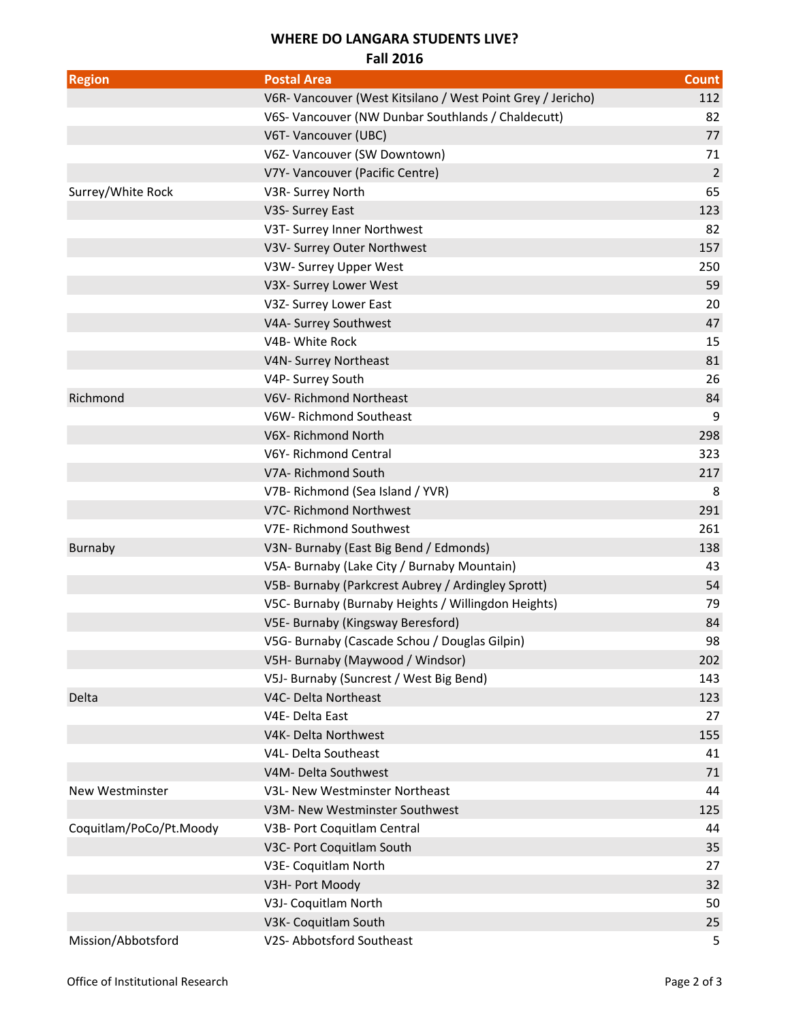## **WHERE DO LANGARA STUDENTS LIVE?**

**Fall 2016**

| <b>Region</b>           | <b>Postal Area</b>                                          | Count          |
|-------------------------|-------------------------------------------------------------|----------------|
|                         | V6R- Vancouver (West Kitsilano / West Point Grey / Jericho) | 112            |
|                         | V6S- Vancouver (NW Dunbar Southlands / Chaldecutt)          | 82             |
|                         | V6T- Vancouver (UBC)                                        | 77             |
|                         | V6Z- Vancouver (SW Downtown)                                | 71             |
|                         | V7Y- Vancouver (Pacific Centre)                             | $\overline{2}$ |
| Surrey/White Rock       | V3R- Surrey North                                           | 65             |
|                         | V3S- Surrey East                                            | 123            |
|                         | V3T- Surrey Inner Northwest                                 | 82             |
|                         | V3V- Surrey Outer Northwest                                 | 157            |
|                         | V3W- Surrey Upper West                                      | 250            |
|                         | V3X- Surrey Lower West                                      | 59             |
|                         | V3Z- Surrey Lower East                                      | 20             |
|                         | V4A- Surrey Southwest                                       | 47             |
|                         | V4B- White Rock                                             | 15             |
|                         | V4N- Surrey Northeast                                       | 81             |
|                         | V4P- Surrey South                                           | 26             |
| Richmond                | V6V-Richmond Northeast                                      | 84             |
|                         | V6W-Richmond Southeast                                      | 9              |
|                         | V6X-Richmond North                                          | 298            |
|                         | V6Y-Richmond Central                                        | 323            |
|                         | V7A- Richmond South                                         | 217            |
|                         | V7B- Richmond (Sea Island / YVR)                            | 8              |
|                         | V7C- Richmond Northwest                                     | 291            |
|                         | V7E-Richmond Southwest                                      | 261            |
| <b>Burnaby</b>          | V3N- Burnaby (East Big Bend / Edmonds)                      | 138            |
|                         | V5A- Burnaby (Lake City / Burnaby Mountain)                 | 43             |
|                         | V5B- Burnaby (Parkcrest Aubrey / Ardingley Sprott)          | 54             |
|                         | V5C- Burnaby (Burnaby Heights / Willingdon Heights)         | 79             |
|                         | V5E- Burnaby (Kingsway Beresford)                           | 84             |
|                         | V5G- Burnaby (Cascade Schou / Douglas Gilpin)               | 98             |
|                         | V5H- Burnaby (Maywood / Windsor)                            | 202            |
|                         | V5J- Burnaby (Suncrest / West Big Bend)                     | 143            |
| Delta                   | V4C- Delta Northeast                                        | 123            |
|                         | V4E-Delta East                                              | 27             |
|                         | V4K- Delta Northwest                                        | 155            |
|                         | V4L- Delta Southeast                                        | 41             |
|                         | V4M- Delta Southwest                                        | 71             |
| New Westminster         | V3L- New Westminster Northeast                              | 44             |
|                         | V3M- New Westminster Southwest                              | 125            |
| Coquitlam/PoCo/Pt.Moody | V3B- Port Coquitlam Central                                 | 44             |
|                         | V3C- Port Coquitlam South                                   | 35             |
|                         | V3E- Coquitlam North                                        | 27             |
|                         | V3H- Port Moody                                             | 32             |
|                         | V3J- Coquitlam North                                        | 50             |
|                         | V3K- Coquitlam South                                        | 25             |
| Mission/Abbotsford      | V2S- Abbotsford Southeast                                   | 5              |